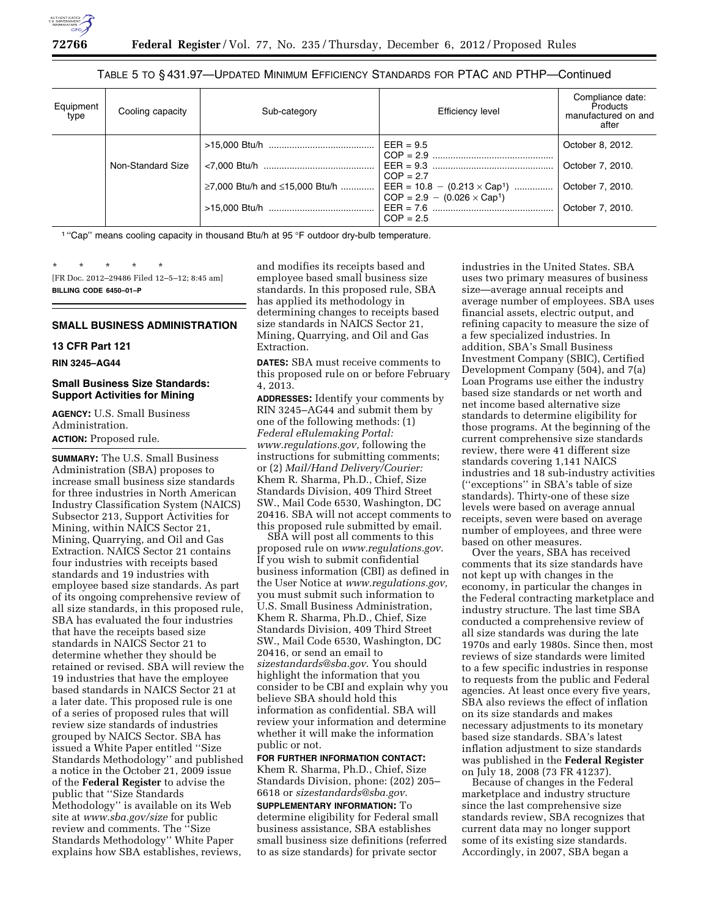

# TABLE 5 TO § 431.97—UPDATED MINIMUM EFFICIENCY STANDARDS FOR PTAC AND PTHP—Continued

| Equipment<br>type | Cooling capacity  | Sub-category                   | Efficiency level                                                          | Compliance date:<br><b>Products</b><br>manufactured on and<br>after |
|-------------------|-------------------|--------------------------------|---------------------------------------------------------------------------|---------------------------------------------------------------------|
|                   |                   |                                | $EER = 9.5$                                                               | October 8, 2012.                                                    |
|                   | Non-Standard Size |                                | $COP = 2.7$                                                               | October 7, 2010.                                                    |
|                   |                   | ≥7,000 Btu/h and ≤15,000 Btu/h | EER = $10.8 - (0.213 \times Cap^1)$<br>$COP = 2.9 - (0.026 \times Cap^1)$ | October 7, 2010.                                                    |
|                   |                   |                                | $COP = 2.5$                                                               | October 7, 2010.                                                    |

<sup>1</sup> "Cap" means cooling capacity in thousand Btu/h at 95 °F outdoor dry-bulb temperature.

\* \* \* \* \* [FR Doc. 2012–29486 Filed 12–5–12; 8:45 am] **BILLING CODE 6450–01–P** 

# **SMALL BUSINESS ADMINISTRATION**

# **13 CFR Part 121**

**RIN 3245–AG44** 

# **Small Business Size Standards: Support Activities for Mining**

**AGENCY:** U.S. Small Business Administration. **ACTION:** Proposed rule.

**SUMMARY:** The U.S. Small Business Administration (SBA) proposes to increase small business size standards for three industries in North American Industry Classification System (NAICS) Subsector 213, Support Activities for Mining, within NAICS Sector 21, Mining, Quarrying, and Oil and Gas Extraction. NAICS Sector 21 contains four industries with receipts based standards and 19 industries with employee based size standards. As part of its ongoing comprehensive review of all size standards, in this proposed rule, SBA has evaluated the four industries that have the receipts based size standards in NAICS Sector 21 to determine whether they should be retained or revised. SBA will review the 19 industries that have the employee based standards in NAICS Sector 21 at a later date. This proposed rule is one of a series of proposed rules that will review size standards of industries grouped by NAICS Sector. SBA has issued a White Paper entitled ''Size Standards Methodology'' and published a notice in the October 21, 2009 issue of the **Federal Register** to advise the public that ''Size Standards Methodology'' is available on its Web site at *[www.sba.gov/size](http://www.sba.gov/size)* for public review and comments. The ''Size Standards Methodology'' White Paper explains how SBA establishes, reviews,

and modifies its receipts based and employee based small business size standards. In this proposed rule, SBA has applied its methodology in determining changes to receipts based size standards in NAICS Sector 21, Mining, Quarrying, and Oil and Gas Extraction.

**DATES:** SBA must receive comments to this proposed rule on or before February 4, 2013.

**ADDRESSES:** Identify your comments by RIN 3245–AG44 and submit them by one of the following methods: (1) *Federal eRulemaking Portal: [www.regulations.gov,](http://www.regulations.gov)* following the instructions for submitting comments; or (2) *Mail/Hand Delivery/Courier:*  Khem R. Sharma, Ph.D., Chief, Size Standards Division, 409 Third Street SW., Mail Code 6530, Washington, DC 20416. SBA will not accept comments to this proposed rule submitted by email.

SBA will post all comments to this proposed rule on *[www.regulations.gov](http://www.regulations.gov)*. If you wish to submit confidential business information (CBI) as defined in the User Notice at *[www.regulations.gov,](http://www.regulations.gov)*  you must submit such information to U.S. Small Business Administration, Khem R. Sharma, Ph.D., Chief, Size Standards Division, 409 Third Street SW., Mail Code 6530, Washington, DC 20416, or send an email to *[sizestandards@sba.gov](mailto:sizestandards@sba.gov)*. You should highlight the information that you consider to be CBI and explain why you believe SBA should hold this information as confidential. SBA will review your information and determine whether it will make the information public or not.

**FOR FURTHER INFORMATION CONTACT:**  Khem R. Sharma, Ph.D., Chief, Size Standards Division, phone: (202) 205– 6618 or *[sizestandards@sba.gov](mailto:sizestandards@sba.gov)*.

**SUPPLEMENTARY INFORMATION:** To determine eligibility for Federal small business assistance, SBA establishes small business size definitions (referred to as size standards) for private sector

industries in the United States. SBA uses two primary measures of business size—average annual receipts and average number of employees. SBA uses financial assets, electric output, and refining capacity to measure the size of a few specialized industries. In addition, SBA's Small Business Investment Company (SBIC), Certified Development Company (504), and 7(a) Loan Programs use either the industry based size standards or net worth and net income based alternative size standards to determine eligibility for those programs. At the beginning of the current comprehensive size standards review, there were 41 different size standards covering 1,141 NAICS industries and 18 sub-industry activities (''exceptions'' in SBA's table of size standards). Thirty-one of these size levels were based on average annual receipts, seven were based on average number of employees, and three were based on other measures.

Over the years, SBA has received comments that its size standards have not kept up with changes in the economy, in particular the changes in the Federal contracting marketplace and industry structure. The last time SBA conducted a comprehensive review of all size standards was during the late 1970s and early 1980s. Since then, most reviews of size standards were limited to a few specific industries in response to requests from the public and Federal agencies. At least once every five years, SBA also reviews the effect of inflation on its size standards and makes necessary adjustments to its monetary based size standards. SBA's latest inflation adjustment to size standards was published in the **Federal Register**  on July 18, 2008 (73 FR 41237).

Because of changes in the Federal marketplace and industry structure since the last comprehensive size standards review, SBA recognizes that current data may no longer support some of its existing size standards. Accordingly, in 2007, SBA began a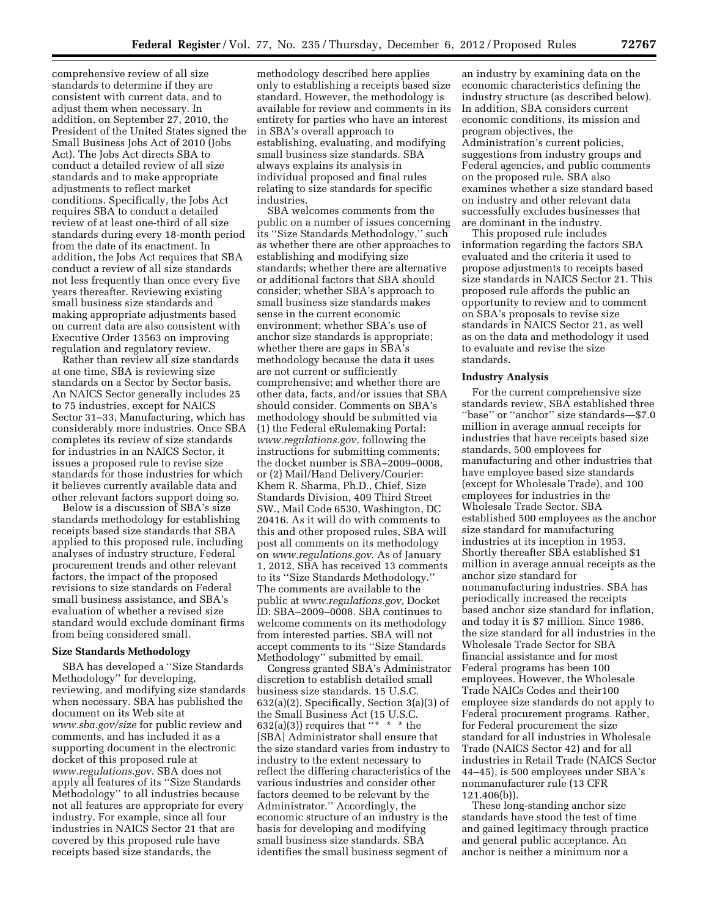comprehensive review of all size standards to determine if they are consistent with current data, and to adjust them when necessary. In addition, on September 27, 2010, the President of the United States signed the Small Business Jobs Act of 2010 (Jobs Act). The Jobs Act directs SBA to conduct a detailed review of all size standards and to make appropriate adjustments to reflect market conditions. Specifically, the Jobs Act requires SBA to conduct a detailed review of at least one-third of all size standards during every 18-month period from the date of its enactment. In addition, the Jobs Act requires that SBA conduct a review of all size standards not less frequently than once every five years thereafter. Reviewing existing small business size standards and making appropriate adjustments based on current data are also consistent with Executive Order 13563 on improving regulation and regulatory review.

Rather than review all size standards at one time, SBA is reviewing size standards on a Sector by Sector basis. An NAICS Sector generally includes 25 to 75 industries, except for NAICS Sector 31–33, Manufacturing, which has considerably more industries. Once SBA completes its review of size standards for industries in an NAICS Sector, it issues a proposed rule to revise size standards for those industries for which it believes currently available data and other relevant factors support doing so.

Below is a discussion of SBA's size standards methodology for establishing receipts based size standards that SBA applied to this proposed rule, including analyses of industry structure, Federal procurement trends and other relevant factors, the impact of the proposed revisions to size standards on Federal small business assistance, and SBA's evaluation of whether a revised size standard would exclude dominant firms from being considered small.

### **Size Standards Methodology**

SBA has developed a ''Size Standards Methodology'' for developing, reviewing, and modifying size standards when necessary. SBA has published the document on its Web site at *[www.sba.gov/size](http://www.sba.gov/size)* for public review and comments, and has included it as a supporting document in the electronic docket of this proposed rule at *[www.regulations.gov](http://www.regulations.gov)*. SBA does not apply all features of its ''Size Standards Methodology'' to all industries because not all features are appropriate for every industry. For example, since all four industries in NAICS Sector 21 that are covered by this proposed rule have receipts based size standards, the

methodology described here applies only to establishing a receipts based size standard. However, the methodology is available for review and comments in its entirety for parties who have an interest in SBA's overall approach to establishing, evaluating, and modifying small business size standards. SBA always explains its analysis in individual proposed and final rules relating to size standards for specific industries.

SBA welcomes comments from the public on a number of issues concerning its ''Size Standards Methodology,'' such as whether there are other approaches to establishing and modifying size standards; whether there are alternative or additional factors that SBA should consider; whether SBA's approach to small business size standards makes sense in the current economic environment; whether SBA's use of anchor size standards is appropriate; whether there are gaps in SBA's methodology because the data it uses are not current or sufficiently comprehensive; and whether there are other data, facts, and/or issues that SBA should consider. Comments on SBA's methodology should be submitted via (1) the Federal eRulemaking Portal: *[www.regulations.gov,](http://www.regulations.gov)* following the instructions for submitting comments; the docket number is SBA–2009–0008, or (2) Mail/Hand Delivery/Courier: Khem R. Sharma, Ph.D., Chief, Size Standards Division, 409 Third Street SW., Mail Code 6530, Washington, DC 20416. As it will do with comments to this and other proposed rules, SBA will post all comments on its methodology on *[www.regulations.gov](http://www.regulations.gov)*. As of January 1, 2012, SBA has received 13 comments to its ''Size Standards Methodology.'' The comments are available to the public at *[www.regulations.gov,](http://www.regulations.gov)* Docket ID: SBA–2009–0008. SBA continues to welcome comments on its methodology from interested parties. SBA will not accept comments to its ''Size Standards Methodology'' submitted by email.

Congress granted SBA's Administrator discretion to establish detailed small business size standards. 15 U.S.C. 632(a)(2). Specifically, Section 3(a)(3) of the Small Business Act (15 U.S.C. 632(a)(3)) requires that  $**$  \* \* the [SBA] Administrator shall ensure that the size standard varies from industry to industry to the extent necessary to reflect the differing characteristics of the various industries and consider other factors deemed to be relevant by the Administrator.'' Accordingly, the economic structure of an industry is the basis for developing and modifying small business size standards. SBA identifies the small business segment of

an industry by examining data on the economic characteristics defining the industry structure (as described below). In addition, SBA considers current economic conditions, its mission and program objectives, the Administration's current policies, suggestions from industry groups and Federal agencies, and public comments on the proposed rule. SBA also examines whether a size standard based on industry and other relevant data successfully excludes businesses that are dominant in the industry.

This proposed rule includes information regarding the factors SBA evaluated and the criteria it used to propose adjustments to receipts based size standards in NAICS Sector 21. This proposed rule affords the public an opportunity to review and to comment on SBA's proposals to revise size standards in NAICS Sector 21, as well as on the data and methodology it used to evaluate and revise the size standards.

#### **Industry Analysis**

For the current comprehensive size standards review, SBA established three ''base'' or ''anchor'' size standards—\$7.0 million in average annual receipts for industries that have receipts based size standards, 500 employees for manufacturing and other industries that have employee based size standards (except for Wholesale Trade), and 100 employees for industries in the Wholesale Trade Sector. SBA established 500 employees as the anchor size standard for manufacturing industries at its inception in 1953. Shortly thereafter SBA established \$1 million in average annual receipts as the anchor size standard for nonmanufacturing industries. SBA has periodically increased the receipts based anchor size standard for inflation, and today it is \$7 million. Since 1986, the size standard for all industries in the Wholesale Trade Sector for SBA financial assistance and for most Federal programs has been 100 employees. However, the Wholesale Trade NAICs Codes and their100 employee size standards do not apply to Federal procurement programs. Rather, for Federal procurement the size standard for all industries in Wholesale Trade (NAICS Sector 42) and for all industries in Retail Trade (NAICS Sector 44–45), is 500 employees under SBA's nonmanufacturer rule (13 CFR 121.406(b)).

These long-standing anchor size standards have stood the test of time and gained legitimacy through practice and general public acceptance. An anchor is neither a minimum nor a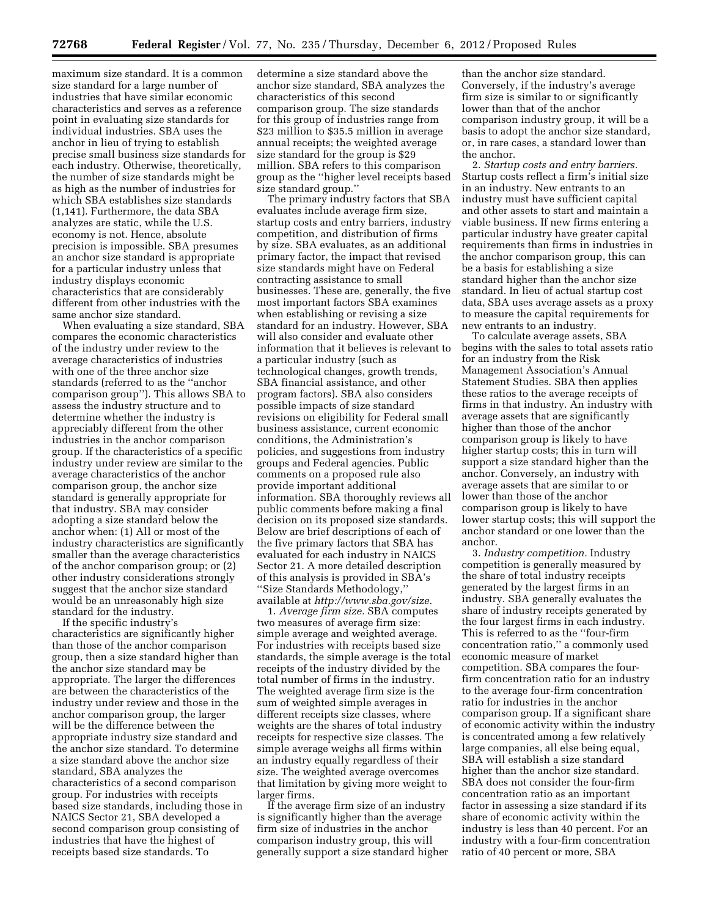maximum size standard. It is a common size standard for a large number of industries that have similar economic characteristics and serves as a reference point in evaluating size standards for individual industries. SBA uses the anchor in lieu of trying to establish precise small business size standards for each industry. Otherwise, theoretically, the number of size standards might be as high as the number of industries for which SBA establishes size standards (1,141). Furthermore, the data SBA analyzes are static, while the U.S. economy is not. Hence, absolute precision is impossible. SBA presumes an anchor size standard is appropriate for a particular industry unless that industry displays economic characteristics that are considerably different from other industries with the same anchor size standard.

When evaluating a size standard, SBA compares the economic characteristics of the industry under review to the average characteristics of industries with one of the three anchor size standards (referred to as the ''anchor comparison group''). This allows SBA to assess the industry structure and to determine whether the industry is appreciably different from the other industries in the anchor comparison group. If the characteristics of a specific industry under review are similar to the average characteristics of the anchor comparison group, the anchor size standard is generally appropriate for that industry. SBA may consider adopting a size standard below the anchor when: (1) All or most of the industry characteristics are significantly smaller than the average characteristics of the anchor comparison group; or (2) other industry considerations strongly suggest that the anchor size standard would be an unreasonably high size standard for the industry.

If the specific industry's characteristics are significantly higher than those of the anchor comparison group, then a size standard higher than the anchor size standard may be appropriate. The larger the differences are between the characteristics of the industry under review and those in the anchor comparison group, the larger will be the difference between the appropriate industry size standard and the anchor size standard. To determine a size standard above the anchor size standard, SBA analyzes the characteristics of a second comparison group. For industries with receipts based size standards, including those in NAICS Sector 21, SBA developed a second comparison group consisting of industries that have the highest of receipts based size standards. To

determine a size standard above the anchor size standard, SBA analyzes the characteristics of this second comparison group. The size standards for this group of industries range from \$23 million to \$35.5 million in average annual receipts; the weighted average size standard for the group is \$29 million. SBA refers to this comparison group as the ''higher level receipts based size standard group.''

The primary industry factors that SBA evaluates include average firm size, startup costs and entry barriers, industry competition, and distribution of firms by size. SBA evaluates, as an additional primary factor, the impact that revised size standards might have on Federal contracting assistance to small businesses. These are, generally, the five most important factors SBA examines when establishing or revising a size standard for an industry. However, SBA will also consider and evaluate other information that it believes is relevant to a particular industry (such as technological changes, growth trends, SBA financial assistance, and other program factors). SBA also considers possible impacts of size standard revisions on eligibility for Federal small business assistance, current economic conditions, the Administration's policies, and suggestions from industry groups and Federal agencies. Public comments on a proposed rule also provide important additional information. SBA thoroughly reviews all public comments before making a final decision on its proposed size standards. Below are brief descriptions of each of the five primary factors that SBA has evaluated for each industry in NAICS Sector 21. A more detailed description of this analysis is provided in SBA's ''Size Standards Methodology,'' available at *<http://www.sba.gov/size>*.

1. *Average firm size.* SBA computes two measures of average firm size: simple average and weighted average. For industries with receipts based size standards, the simple average is the total receipts of the industry divided by the total number of firms in the industry. The weighted average firm size is the sum of weighted simple averages in different receipts size classes, where weights are the shares of total industry receipts for respective size classes. The simple average weighs all firms within an industry equally regardless of their size. The weighted average overcomes that limitation by giving more weight to larger firms.

If the average firm size of an industry is significantly higher than the average firm size of industries in the anchor comparison industry group, this will generally support a size standard higher

than the anchor size standard. Conversely, if the industry's average firm size is similar to or significantly lower than that of the anchor comparison industry group, it will be a basis to adopt the anchor size standard, or, in rare cases, a standard lower than the anchor.

2. *Startup costs and entry barriers.*  Startup costs reflect a firm's initial size in an industry. New entrants to an industry must have sufficient capital and other assets to start and maintain a viable business. If new firms entering a particular industry have greater capital requirements than firms in industries in the anchor comparison group, this can be a basis for establishing a size standard higher than the anchor size standard. In lieu of actual startup cost data, SBA uses average assets as a proxy to measure the capital requirements for new entrants to an industry.

To calculate average assets, SBA begins with the sales to total assets ratio for an industry from the Risk Management Association's Annual Statement Studies. SBA then applies these ratios to the average receipts of firms in that industry. An industry with average assets that are significantly higher than those of the anchor comparison group is likely to have higher startup costs; this in turn will support a size standard higher than the anchor. Conversely, an industry with average assets that are similar to or lower than those of the anchor comparison group is likely to have lower startup costs; this will support the anchor standard or one lower than the anchor.

3. *Industry competition.* Industry competition is generally measured by the share of total industry receipts generated by the largest firms in an industry. SBA generally evaluates the share of industry receipts generated by the four largest firms in each industry. This is referred to as the ''four-firm concentration ratio,'' a commonly used economic measure of market competition. SBA compares the fourfirm concentration ratio for an industry to the average four-firm concentration ratio for industries in the anchor comparison group. If a significant share of economic activity within the industry is concentrated among a few relatively large companies, all else being equal, SBA will establish a size standard higher than the anchor size standard. SBA does not consider the four-firm concentration ratio as an important factor in assessing a size standard if its share of economic activity within the industry is less than 40 percent. For an industry with a four-firm concentration ratio of 40 percent or more, SBA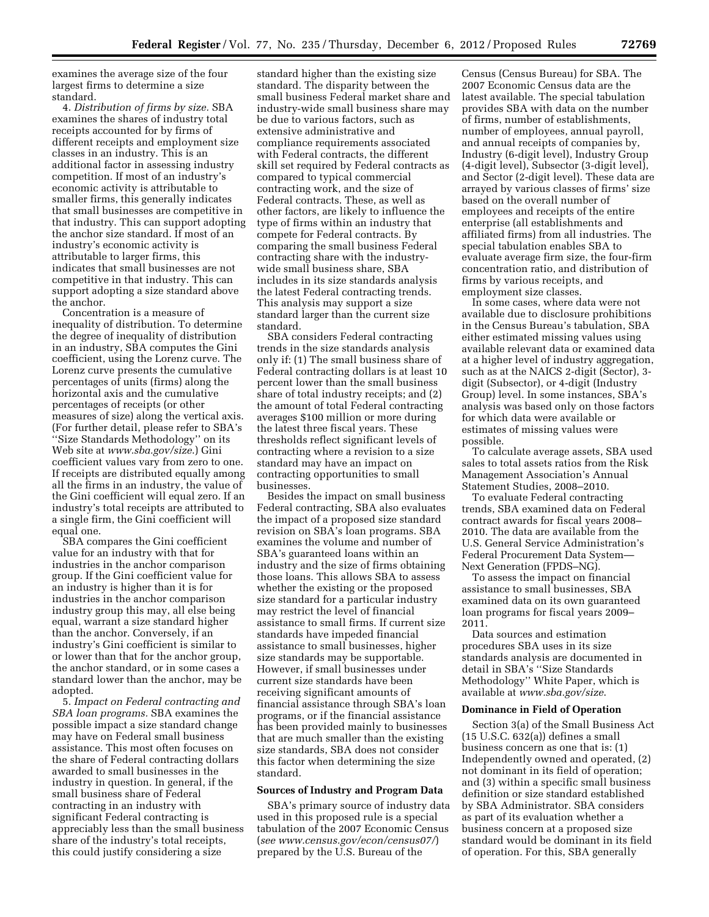examines the average size of the four largest firms to determine a size standard.

4. *Distribution of firms by size.* SBA examines the shares of industry total receipts accounted for by firms of different receipts and employment size classes in an industry. This is an additional factor in assessing industry competition. If most of an industry's economic activity is attributable to smaller firms, this generally indicates that small businesses are competitive in that industry. This can support adopting the anchor size standard. If most of an industry's economic activity is attributable to larger firms, this indicates that small businesses are not competitive in that industry. This can support adopting a size standard above the anchor.

Concentration is a measure of inequality of distribution. To determine the degree of inequality of distribution in an industry, SBA computes the Gini coefficient, using the Lorenz curve. The Lorenz curve presents the cumulative percentages of units (firms) along the horizontal axis and the cumulative percentages of receipts (or other measures of size) along the vertical axis. (For further detail, please refer to SBA's ''Size Standards Methodology'' on its Web site at *[www.sba.gov/size](http://www.sba.gov/size)*.) Gini coefficient values vary from zero to one. If receipts are distributed equally among all the firms in an industry, the value of the Gini coefficient will equal zero. If an industry's total receipts are attributed to a single firm, the Gini coefficient will equal one.

SBA compares the Gini coefficient value for an industry with that for industries in the anchor comparison group. If the Gini coefficient value for an industry is higher than it is for industries in the anchor comparison industry group this may, all else being equal, warrant a size standard higher than the anchor. Conversely, if an industry's Gini coefficient is similar to or lower than that for the anchor group, the anchor standard, or in some cases a standard lower than the anchor, may be adopted.

5. *Impact on Federal contracting and SBA loan programs.* SBA examines the possible impact a size standard change may have on Federal small business assistance. This most often focuses on the share of Federal contracting dollars awarded to small businesses in the industry in question. In general, if the small business share of Federal contracting in an industry with significant Federal contracting is appreciably less than the small business share of the industry's total receipts, this could justify considering a size

standard higher than the existing size standard. The disparity between the small business Federal market share and industry-wide small business share may be due to various factors, such as extensive administrative and compliance requirements associated with Federal contracts, the different skill set required by Federal contracts as compared to typical commercial contracting work, and the size of Federal contracts. These, as well as other factors, are likely to influence the type of firms within an industry that compete for Federal contracts. By comparing the small business Federal contracting share with the industrywide small business share, SBA includes in its size standards analysis the latest Federal contracting trends. This analysis may support a size standard larger than the current size standard.

SBA considers Federal contracting trends in the size standards analysis only if: (1) The small business share of Federal contracting dollars is at least 10 percent lower than the small business share of total industry receipts; and (2) the amount of total Federal contracting averages \$100 million or more during the latest three fiscal years. These thresholds reflect significant levels of contracting where a revision to a size standard may have an impact on contracting opportunities to small businesses.

Besides the impact on small business Federal contracting, SBA also evaluates the impact of a proposed size standard revision on SBA's loan programs. SBA examines the volume and number of SBA's guaranteed loans within an industry and the size of firms obtaining those loans. This allows SBA to assess whether the existing or the proposed size standard for a particular industry may restrict the level of financial assistance to small firms. If current size standards have impeded financial assistance to small businesses, higher size standards may be supportable. However, if small businesses under current size standards have been receiving significant amounts of financial assistance through SBA's loan programs, or if the financial assistance has been provided mainly to businesses that are much smaller than the existing size standards, SBA does not consider this factor when determining the size standard.

#### **Sources of Industry and Program Data**

SBA's primary source of industry data used in this proposed rule is a special tabulation of the 2007 Economic Census (*see [www.census.gov/econ/census07/](http://www.census.gov/econ/census07/)*) prepared by the U.S. Bureau of the

Census (Census Bureau) for SBA. The 2007 Economic Census data are the latest available. The special tabulation provides SBA with data on the number of firms, number of establishments, number of employees, annual payroll, and annual receipts of companies by, Industry (6-digit level), Industry Group (4-digit level), Subsector (3-digit level), and Sector (2-digit level). These data are arrayed by various classes of firms' size based on the overall number of employees and receipts of the entire enterprise (all establishments and affiliated firms) from all industries. The special tabulation enables SBA to evaluate average firm size, the four-firm concentration ratio, and distribution of firms by various receipts, and employment size classes.

In some cases, where data were not available due to disclosure prohibitions in the Census Bureau's tabulation, SBA either estimated missing values using available relevant data or examined data at a higher level of industry aggregation, such as at the NAICS 2-digit (Sector), 3 digit (Subsector), or 4-digit (Industry Group) level. In some instances, SBA's analysis was based only on those factors for which data were available or estimates of missing values were possible.

To calculate average assets, SBA used sales to total assets ratios from the Risk Management Association's Annual Statement Studies, 2008–2010.

To evaluate Federal contracting trends, SBA examined data on Federal contract awards for fiscal years 2008– 2010. The data are available from the U.S. General Service Administration's Federal Procurement Data System— Next Generation (FPDS–NG).

To assess the impact on financial assistance to small businesses, SBA examined data on its own guaranteed loan programs for fiscal years 2009– 2011.

Data sources and estimation procedures SBA uses in its size standards analysis are documented in detail in SBA's ''Size Standards Methodology'' White Paper, which is available at *[www.sba.gov/size](http://www.sba.gov/size)*.

# **Dominance in Field of Operation**

Section 3(a) of the Small Business Act (15 U.S.C. 632(a)) defines a small business concern as one that is: (1) Independently owned and operated, (2) not dominant in its field of operation; and (3) within a specific small business definition or size standard established by SBA Administrator. SBA considers as part of its evaluation whether a business concern at a proposed size standard would be dominant in its field of operation. For this, SBA generally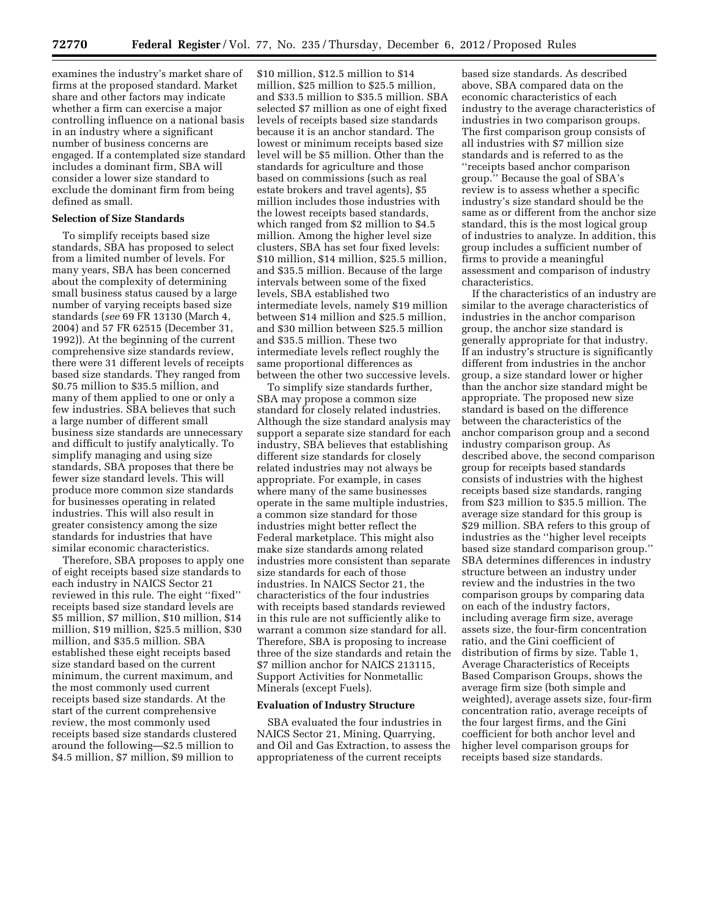examines the industry's market share of firms at the proposed standard. Market share and other factors may indicate whether a firm can exercise a major controlling influence on a national basis in an industry where a significant number of business concerns are engaged. If a contemplated size standard includes a dominant firm, SBA will consider a lower size standard to exclude the dominant firm from being defined as small.

# **Selection of Size Standards**

To simplify receipts based size standards, SBA has proposed to select from a limited number of levels. For many years, SBA has been concerned about the complexity of determining small business status caused by a large number of varying receipts based size standards (*see* 69 FR 13130 (March 4, 2004) and 57 FR 62515 (December 31, 1992)). At the beginning of the current comprehensive size standards review, there were 31 different levels of receipts based size standards. They ranged from \$0.75 million to \$35.5 million, and many of them applied to one or only a few industries. SBA believes that such a large number of different small business size standards are unnecessary and difficult to justify analytically. To simplify managing and using size standards, SBA proposes that there be fewer size standard levels. This will produce more common size standards for businesses operating in related industries. This will also result in greater consistency among the size standards for industries that have similar economic characteristics.

Therefore, SBA proposes to apply one of eight receipts based size standards to each industry in NAICS Sector 21 reviewed in this rule. The eight ''fixed'' receipts based size standard levels are \$5 million, \$7 million, \$10 million, \$14 million, \$19 million, \$25.5 million, \$30 million, and \$35.5 million. SBA established these eight receipts based size standard based on the current minimum, the current maximum, and the most commonly used current receipts based size standards. At the start of the current comprehensive review, the most commonly used receipts based size standards clustered around the following—\$2.5 million to \$4.5 million, \$7 million, \$9 million to

\$10 million, \$12.5 million to \$14 million, \$25 million to \$25.5 million, and \$33.5 million to \$35.5 million. SBA selected \$7 million as one of eight fixed levels of receipts based size standards because it is an anchor standard. The lowest or minimum receipts based size level will be \$5 million. Other than the standards for agriculture and those based on commissions (such as real estate brokers and travel agents), \$5 million includes those industries with the lowest receipts based standards, which ranged from \$2 million to \$4.5 million. Among the higher level size clusters, SBA has set four fixed levels: \$10 million, \$14 million, \$25.5 million, and \$35.5 million. Because of the large intervals between some of the fixed levels, SBA established two intermediate levels, namely \$19 million between \$14 million and \$25.5 million, and \$30 million between \$25.5 million and \$35.5 million. These two intermediate levels reflect roughly the same proportional differences as between the other two successive levels.

To simplify size standards further, SBA may propose a common size standard for closely related industries. Although the size standard analysis may support a separate size standard for each industry, SBA believes that establishing different size standards for closely related industries may not always be appropriate. For example, in cases where many of the same businesses operate in the same multiple industries, a common size standard for those industries might better reflect the Federal marketplace. This might also make size standards among related industries more consistent than separate size standards for each of those industries. In NAICS Sector 21, the characteristics of the four industries with receipts based standards reviewed in this rule are not sufficiently alike to warrant a common size standard for all. Therefore, SBA is proposing to increase three of the size standards and retain the \$7 million anchor for NAICS 213115, Support Activities for Nonmetallic Minerals (except Fuels).

## **Evaluation of Industry Structure**

SBA evaluated the four industries in NAICS Sector 21, Mining, Quarrying, and Oil and Gas Extraction, to assess the appropriateness of the current receipts

based size standards. As described above, SBA compared data on the economic characteristics of each industry to the average characteristics of industries in two comparison groups. The first comparison group consists of all industries with \$7 million size standards and is referred to as the ''receipts based anchor comparison group.'' Because the goal of SBA's review is to assess whether a specific industry's size standard should be the same as or different from the anchor size standard, this is the most logical group of industries to analyze. In addition, this group includes a sufficient number of firms to provide a meaningful assessment and comparison of industry characteristics.

If the characteristics of an industry are similar to the average characteristics of industries in the anchor comparison group, the anchor size standard is generally appropriate for that industry. If an industry's structure is significantly different from industries in the anchor group, a size standard lower or higher than the anchor size standard might be appropriate. The proposed new size standard is based on the difference between the characteristics of the anchor comparison group and a second industry comparison group. As described above, the second comparison group for receipts based standards consists of industries with the highest receipts based size standards, ranging from \$23 million to \$35.5 million. The average size standard for this group is \$29 million. SBA refers to this group of industries as the ''higher level receipts based size standard comparison group.'' SBA determines differences in industry structure between an industry under review and the industries in the two comparison groups by comparing data on each of the industry factors, including average firm size, average assets size, the four-firm concentration ratio, and the Gini coefficient of distribution of firms by size. Table 1, Average Characteristics of Receipts Based Comparison Groups, shows the average firm size (both simple and weighted), average assets size, four-firm concentration ratio, average receipts of the four largest firms, and the Gini coefficient for both anchor level and higher level comparison groups for receipts based size standards.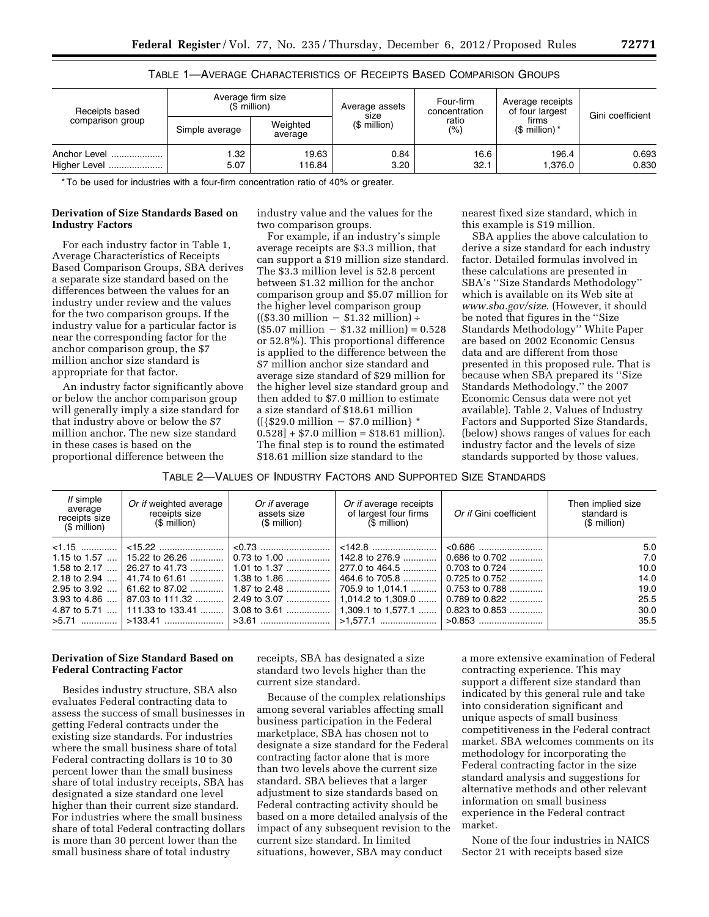| Receipts based               | Average firm size<br>$(S$ million) |                     | Average assets<br>size | Four-firm<br>concentration | Average receipts<br>of four largest | Gini coefficient |  |
|------------------------------|------------------------------------|---------------------|------------------------|----------------------------|-------------------------------------|------------------|--|
| comparison group             | Simple average                     | Weighted<br>average | (\$ million)           | ratio<br>$(\% )$           | firms<br>$$$ million) $*$           |                  |  |
| Anchor Level<br>Higher Level | l.32<br>5.07                       | 19.63<br>116.84     | 0.84<br>3.20           | 16.6<br>32.1               | 196.4<br>1.376.0                    | 0.693<br>0.830   |  |

|  |  |  | TABLE 1—AVERAGE CHARACTERISTICS OF RECEIPTS BASED COMPARISON GROUPS. |
|--|--|--|----------------------------------------------------------------------|
|--|--|--|----------------------------------------------------------------------|

\* To be used for industries with a four-firm concentration ratio of 40% or greater.

## **Derivation of Size Standards Based on Industry Factors**

For each industry factor in Table 1, Average Characteristics of Receipts Based Comparison Groups, SBA derives a separate size standard based on the differences between the values for an industry under review and the values for the two comparison groups. If the industry value for a particular factor is near the corresponding factor for the anchor comparison group, the \$7 million anchor size standard is appropriate for that factor.

An industry factor significantly above or below the anchor comparison group will generally imply a size standard for that industry above or below the \$7 million anchor. The new size standard in these cases is based on the proportional difference between the

industry value and the values for the two comparison groups.

For example, if an industry's simple average receipts are \$3.3 million, that can support a \$19 million size standard. The \$3.3 million level is 52.8 percent between \$1.32 million for the anchor comparison group and \$5.07 million for the higher level comparison group  $((\$3.30 \text{ million} - \$1.32 \text{ million}) +$  $($5.07 \text{ million} - $1.32 \text{ million}) = 0.528$ or 52.8%). This proportional difference is applied to the difference between the \$7 million anchor size standard and average size standard of \$29 million for the higher level size standard group and then added to \$7.0 million to estimate a size standard of \$18.61 million  $({\frac{529.0 \text{ million} - $7.0 \text{ million}}{8}})^{3}$  $0.528$  + \$7.0 million = \$18.61 million). The final step is to round the estimated \$18.61 million size standard to the

nearest fixed size standard, which in this example is \$19 million.

SBA applies the above calculation to derive a size standard for each industry factor. Detailed formulas involved in these calculations are presented in SBA's ''Size Standards Methodology'' which is available on its Web site at *[www.sba.gov/size](http://www.sba.gov/size)*. (However, it should be noted that figures in the ''Size Standards Methodology'' White Paper are based on 2002 Economic Census data and are different from those presented in this proposed rule. That is because when SBA prepared its ''Size Standards Methodology,'' the 2007 Economic Census data were not yet available). Table 2, Values of Industry Factors and Supported Size Standards, (below) shows ranges of values for each industry factor and the levels of size standards supported by those values.

TABLE 2—VALUES OF INDUSTRY FACTORS AND SUPPORTED SIZE STANDARDS

| If simple<br>average<br>receipts size<br>$$$ million) | Or if weighted average<br>receipts size<br>(\$ million) | Or if average<br>assets size<br>$$$ million) | Or if average receipts<br>of largest four firms<br>$$$ million) | Or if Gini coefficient | Then implied size<br>standard is<br>$$$ million) |
|-------------------------------------------------------|---------------------------------------------------------|----------------------------------------------|-----------------------------------------------------------------|------------------------|--------------------------------------------------|
| $1.15$                                                |                                                         |                                              |                                                                 |                        | 5.0                                              |
| 1.15 to $1.57$                                        | │ 15.22 to 26.26  │                                     | $0.73$ to 1.00                               | 142.8 to 276.9                                                  | $0.686$ to $0.702$     | 7.0                                              |
| 1.58 to 2.17                                          | 26.27 to 41.73                                          |                                              | 277.0 to 464.5                                                  | 0.703 to 0.724         | 10.0                                             |
| 2.18 to $2.94$                                        | 41.74 to 61.61                                          | 1.38 to 1.86                                 | 464.6 to 705.8                                                  | 0.725 to 0.752         | 14.0                                             |
| 2.95 to $3.92$                                        | 61.62 to 87.02                                          | 1.87 to 2.48                                 | 705.9 to 1,014.1                                                | 0.753 to 0.788         | 19.0                                             |
| 3.93 to $4.86$                                        | 87.03 to 111.32                                         | 2.49 to 3.07                                 | 1.014.2 to 1.309.0                                              | $0.789$ to $0.822$     | 25.5                                             |
| 4.87 to 5.71<br>$\cdots$                              |                                                         |                                              | 1.309.1 to 1.577.1                                              | $0.823$ to $0.853$     | 30.0                                             |
| $>5.71$                                               |                                                         |                                              |                                                                 |                        | 35.5                                             |

# **Derivation of Size Standard Based on Federal Contracting Factor**

Besides industry structure, SBA also evaluates Federal contracting data to assess the success of small businesses in getting Federal contracts under the existing size standards. For industries where the small business share of total Federal contracting dollars is 10 to 30 percent lower than the small business share of total industry receipts, SBA has designated a size standard one level higher than their current size standard. For industries where the small business share of total Federal contracting dollars is more than 30 percent lower than the small business share of total industry

receipts, SBA has designated a size standard two levels higher than the current size standard.

Because of the complex relationships among several variables affecting small business participation in the Federal marketplace, SBA has chosen not to designate a size standard for the Federal contracting factor alone that is more than two levels above the current size standard. SBA believes that a larger adjustment to size standards based on Federal contracting activity should be based on a more detailed analysis of the impact of any subsequent revision to the current size standard. In limited situations, however, SBA may conduct

a more extensive examination of Federal contracting experience. This may support a different size standard than indicated by this general rule and take into consideration significant and unique aspects of small business competitiveness in the Federal contract market. SBA welcomes comments on its methodology for incorporating the Federal contracting factor in the size standard analysis and suggestions for alternative methods and other relevant information on small business experience in the Federal contract market.

None of the four industries in NAICS Sector 21 with receipts based size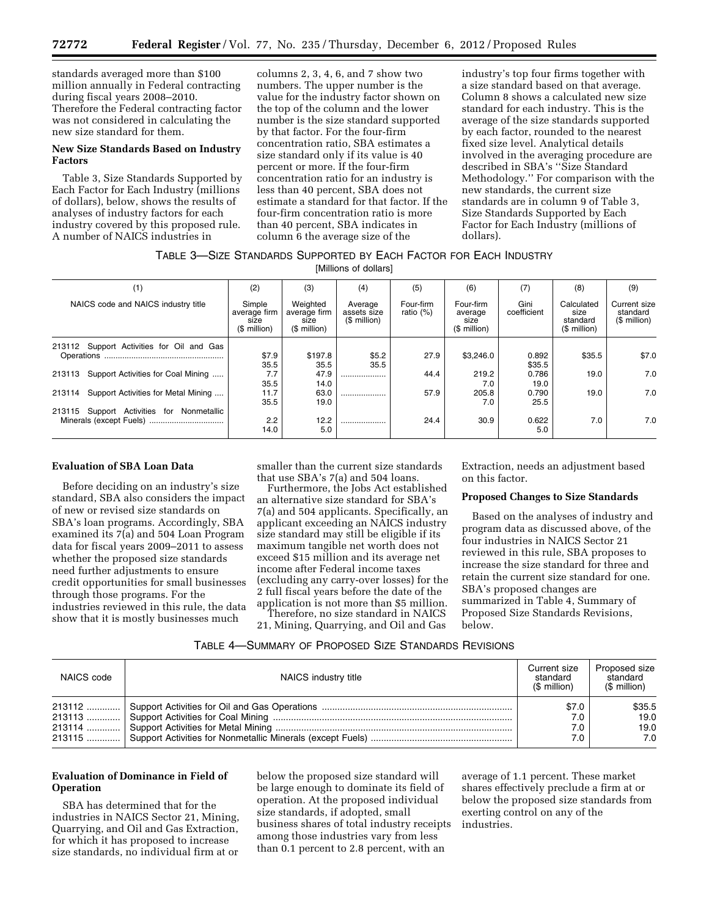standards averaged more than \$100 million annually in Federal contracting during fiscal years 2008–2010. Therefore the Federal contracting factor was not considered in calculating the new size standard for them.

## **New Size Standards Based on Industry Factors**

Table 3, Size Standards Supported by Each Factor for Each Industry (millions of dollars), below, shows the results of analyses of industry factors for each industry covered by this proposed rule. A number of NAICS industries in

columns 2, 3, 4, 6, and 7 show two numbers. The upper number is the value for the industry factor shown on the top of the column and the lower number is the size standard supported by that factor. For the four-firm concentration ratio, SBA estimates a size standard only if its value is 40 percent or more. If the four-firm concentration ratio for an industry is less than 40 percent, SBA does not estimate a standard for that factor. If the four-firm concentration ratio is more than 40 percent, SBA indicates in column 6 the average size of the

industry's top four firms together with a size standard based on that average. Column 8 shows a calculated new size standard for each industry. This is the average of the size standards supported by each factor, rounded to the nearest fixed size level. Analytical details involved in the averaging procedure are described in SBA's ''Size Standard Methodology.'' For comparison with the new standards, the current size standards are in column 9 of Table 3, Size Standards Supported by Each Factor for Each Industry (millions of dollars).

# TABLE 3—SIZE STANDARDS SUPPORTED BY EACH FACTOR FOR EACH INDUSTRY

[Millions of dollars]

| (1)                                           | (2)                                            | (3)                                              | (4)                                    | (5)                       | (6)                                          | (7)                 | (8)                                            | (9)                                      |
|-----------------------------------------------|------------------------------------------------|--------------------------------------------------|----------------------------------------|---------------------------|----------------------------------------------|---------------------|------------------------------------------------|------------------------------------------|
| NAICS code and NAICS industry title           | Simple<br>average firm<br>size<br>(\$ million) | Weighted<br>average firm<br>size<br>$$$ million) | Average<br>assets size<br>(\$ million) | Four-firm<br>ratio $(\%)$ | Four-firm<br>average<br>size<br>$$$ million) | Gini<br>coefficient | Calculated<br>size<br>standard<br>$$$ million) | Current size<br>standard<br>(\$ million) |
| 213112 Support Activities for Oil and Gas     |                                                |                                                  |                                        |                           |                                              |                     |                                                |                                          |
|                                               | \$7.9<br>35.5                                  | \$197.8<br>35.5                                  | \$5.2<br>35.5                          | 27.9                      | \$3,246.0                                    | 0.892<br>\$35.5     | \$35.5                                         | \$7.0                                    |
| Support Activities for Coal Mining<br>213113  | 7.7<br>35.5                                    | 47.9<br>14.0                                     |                                        | 44.4                      | 219.2<br>7.0                                 | 0.786<br>19.0       | 19.0                                           | 7.0                                      |
| Support Activities for Metal Mining<br>213114 | 11.7<br>35.5                                   | 63.0<br>19.0                                     |                                        | 57.9                      | 205.8<br>7.0                                 | 0.790<br>25.5       | 19.0                                           | 7.0                                      |
| Support Activities for Nonmetallic<br>213115  |                                                |                                                  |                                        |                           |                                              |                     |                                                |                                          |
|                                               | 2.2<br>14.0                                    | 12.2<br>5.0                                      |                                        | 24.4                      | 30.9                                         | 0.622<br>5.0        | 7.0                                            | 7.0                                      |

# **Evaluation of SBA Loan Data**

Before deciding on an industry's size standard, SBA also considers the impact of new or revised size standards on SBA's loan programs. Accordingly, SBA examined its 7(a) and 504 Loan Program data for fiscal years 2009–2011 to assess whether the proposed size standards need further adjustments to ensure credit opportunities for small businesses through those programs. For the industries reviewed in this rule, the data show that it is mostly businesses much

smaller than the current size standards that use SBA's 7(a) and 504 loans.

Furthermore, the Jobs Act established an alternative size standard for SBA's 7(a) and 504 applicants. Specifically, an applicant exceeding an NAICS industry size standard may still be eligible if its maximum tangible net worth does not exceed \$15 million and its average net income after Federal income taxes (excluding any carry-over losses) for the 2 full fiscal years before the date of the application is not more than \$5 million. Therefore, no size standard in NAICS 21, Mining, Quarrying, and Oil and Gas

Extraction, needs an adjustment based on this factor.

### **Proposed Changes to Size Standards**

Based on the analyses of industry and program data as discussed above, of the four industries in NAICS Sector 21 reviewed in this rule, SBA proposes to increase the size standard for three and retain the current size standard for one. SBA's proposed changes are summarized in Table 4, Summary of Proposed Size Standards Revisions, below.

# TABLE 4—SUMMARY OF PROPOSED SIZE STANDARDS REVISIONS

| NAICS code | NAICS industry title | Current size<br>standard<br>(\$ million) | Proposed size<br>standard<br>$$$ million) |
|------------|----------------------|------------------------------------------|-------------------------------------------|
|            |                      | \$7.0                                    | \$35.5                                    |
|            |                      | 7.0                                      | 19.0                                      |
|            |                      | 7.0                                      | 19.0                                      |
|            |                      | 7.0                                      | 7.0                                       |

# **Evaluation of Dominance in Field of Operation**

SBA has determined that for the industries in NAICS Sector 21, Mining, Quarrying, and Oil and Gas Extraction, for which it has proposed to increase size standards, no individual firm at or

below the proposed size standard will be large enough to dominate its field of operation. At the proposed individual size standards, if adopted, small business shares of total industry receipts among those industries vary from less than 0.1 percent to 2.8 percent, with an

average of 1.1 percent. These market shares effectively preclude a firm at or below the proposed size standards from exerting control on any of the industries.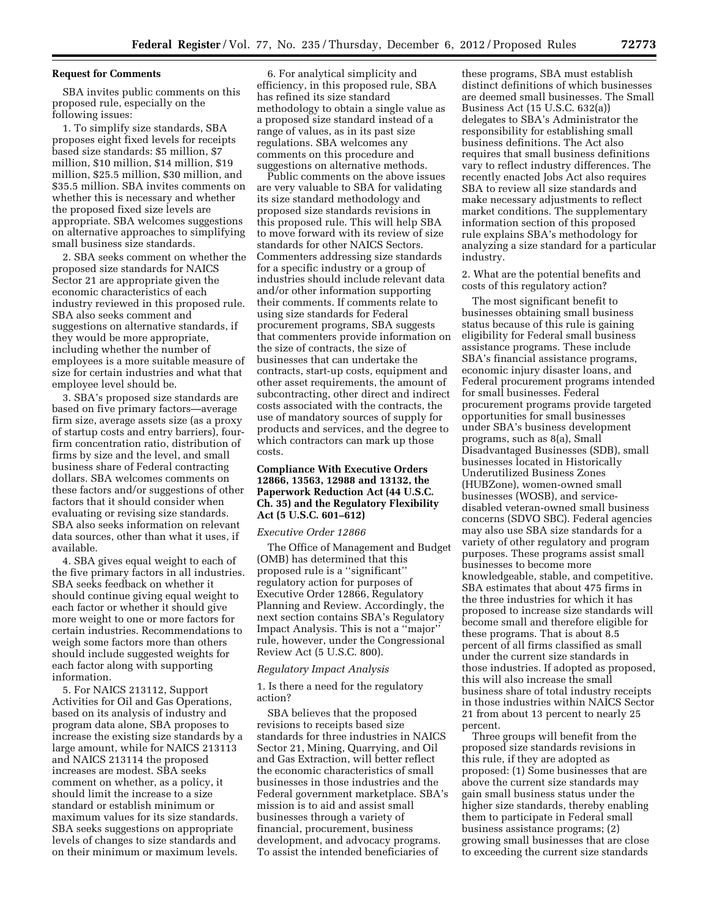### **Request for Comments**

SBA invites public comments on this proposed rule, especially on the following issues:

1. To simplify size standards, SBA proposes eight fixed levels for receipts based size standards: \$5 million, \$7 million, \$10 million, \$14 million, \$19 million, \$25.5 million, \$30 million, and \$35.5 million. SBA invites comments on whether this is necessary and whether the proposed fixed size levels are appropriate. SBA welcomes suggestions on alternative approaches to simplifying small business size standards.

2. SBA seeks comment on whether the proposed size standards for NAICS Sector 21 are appropriate given the economic characteristics of each industry reviewed in this proposed rule. SBA also seeks comment and suggestions on alternative standards, if they would be more appropriate, including whether the number of employees is a more suitable measure of size for certain industries and what that employee level should be.

3. SBA's proposed size standards are based on five primary factors—average firm size, average assets size (as a proxy of startup costs and entry barriers), fourfirm concentration ratio, distribution of firms by size and the level, and small business share of Federal contracting dollars. SBA welcomes comments on these factors and/or suggestions of other factors that it should consider when evaluating or revising size standards. SBA also seeks information on relevant data sources, other than what it uses, if available.

4. SBA gives equal weight to each of the five primary factors in all industries. SBA seeks feedback on whether it should continue giving equal weight to each factor or whether it should give more weight to one or more factors for certain industries. Recommendations to weigh some factors more than others should include suggested weights for each factor along with supporting information.

5. For NAICS 213112, Support Activities for Oil and Gas Operations, based on its analysis of industry and program data alone, SBA proposes to increase the existing size standards by a large amount, while for NAICS 213113 and NAICS 213114 the proposed increases are modest. SBA seeks comment on whether, as a policy, it should limit the increase to a size standard or establish minimum or maximum values for its size standards. SBA seeks suggestions on appropriate levels of changes to size standards and on their minimum or maximum levels.

6. For analytical simplicity and efficiency, in this proposed rule, SBA has refined its size standard methodology to obtain a single value as a proposed size standard instead of a range of values, as in its past size regulations. SBA welcomes any comments on this procedure and suggestions on alternative methods.

Public comments on the above issues are very valuable to SBA for validating its size standard methodology and proposed size standards revisions in this proposed rule. This will help SBA to move forward with its review of size standards for other NAICS Sectors. Commenters addressing size standards for a specific industry or a group of industries should include relevant data and/or other information supporting their comments. If comments relate to using size standards for Federal procurement programs, SBA suggests that commenters provide information on the size of contracts, the size of businesses that can undertake the contracts, start-up costs, equipment and other asset requirements, the amount of subcontracting, other direct and indirect costs associated with the contracts, the use of mandatory sources of supply for products and services, and the degree to which contractors can mark up those costs.

# **Compliance With Executive Orders 12866, 13563, 12988 and 13132, the Paperwork Reduction Act (44 U.S.C. Ch. 35) and the Regulatory Flexibility Act (5 U.S.C. 601–612)**

#### *Executive Order 12866*

The Office of Management and Budget (OMB) has determined that this proposed rule is a ''significant'' regulatory action for purposes of Executive Order 12866, Regulatory Planning and Review. Accordingly, the next section contains SBA's Regulatory Impact Analysis. This is not a ''major'' rule, however, under the Congressional Review Act (5 U.S.C. 800).

### *Regulatory Impact Analysis*

1. Is there a need for the regulatory action?

SBA believes that the proposed revisions to receipts based size standards for three industries in NAICS Sector 21, Mining, Quarrying, and Oil and Gas Extraction, will better reflect the economic characteristics of small businesses in those industries and the Federal government marketplace. SBA's mission is to aid and assist small businesses through a variety of financial, procurement, business development, and advocacy programs. To assist the intended beneficiaries of

these programs, SBA must establish distinct definitions of which businesses are deemed small businesses. The Small Business Act (15 U.S.C. 632(a)) delegates to SBA's Administrator the responsibility for establishing small business definitions. The Act also requires that small business definitions vary to reflect industry differences. The recently enacted Jobs Act also requires SBA to review all size standards and make necessary adjustments to reflect market conditions. The supplementary information section of this proposed rule explains SBA's methodology for analyzing a size standard for a particular industry.

2. What are the potential benefits and costs of this regulatory action?

The most significant benefit to businesses obtaining small business status because of this rule is gaining eligibility for Federal small business assistance programs. These include SBA's financial assistance programs, economic injury disaster loans, and Federal procurement programs intended for small businesses. Federal procurement programs provide targeted opportunities for small businesses under SBA's business development programs, such as 8(a), Small Disadvantaged Businesses (SDB), small businesses located in Historically Underutilized Business Zones (HUBZone), women-owned small businesses (WOSB), and servicedisabled veteran-owned small business concerns (SDVO SBC). Federal agencies may also use SBA size standards for a variety of other regulatory and program purposes. These programs assist small businesses to become more knowledgeable, stable, and competitive. SBA estimates that about 475 firms in the three industries for which it has proposed to increase size standards will become small and therefore eligible for these programs. That is about 8.5 percent of all firms classified as small under the current size standards in those industries. If adopted as proposed, this will also increase the small business share of total industry receipts in those industries within NAICS Sector 21 from about 13 percent to nearly 25 percent.

Three groups will benefit from the proposed size standards revisions in this rule, if they are adopted as proposed: (1) Some businesses that are above the current size standards may gain small business status under the higher size standards, thereby enabling them to participate in Federal small business assistance programs; (2) growing small businesses that are close to exceeding the current size standards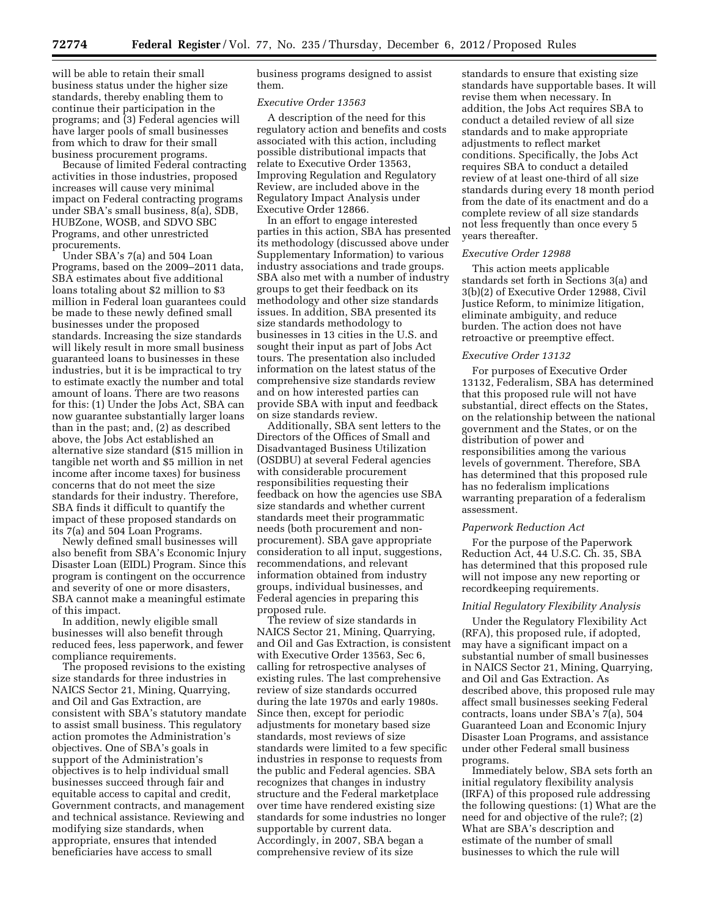will be able to retain their small business status under the higher size standards, thereby enabling them to continue their participation in the programs; and (3) Federal agencies will have larger pools of small businesses from which to draw for their small business procurement programs.

Because of limited Federal contracting activities in those industries, proposed increases will cause very minimal impact on Federal contracting programs under SBA's small business, 8(a), SDB, HUBZone, WOSB, and SDVO SBC Programs, and other unrestricted procurements.

Under SBA's 7(a) and 504 Loan Programs, based on the 2009–2011 data, SBA estimates about five additional loans totaling about \$2 million to \$3 million in Federal loan guarantees could be made to these newly defined small businesses under the proposed standards. Increasing the size standards will likely result in more small business guaranteed loans to businesses in these industries, but it is be impractical to try to estimate exactly the number and total amount of loans. There are two reasons for this: (1) Under the Jobs Act, SBA can now guarantee substantially larger loans than in the past; and, (2) as described above, the Jobs Act established an alternative size standard (\$15 million in tangible net worth and \$5 million in net income after income taxes) for business concerns that do not meet the size standards for their industry. Therefore, SBA finds it difficult to quantify the impact of these proposed standards on its 7(a) and 504 Loan Programs.

Newly defined small businesses will also benefit from SBA's Economic Injury Disaster Loan (EIDL) Program. Since this program is contingent on the occurrence and severity of one or more disasters, SBA cannot make a meaningful estimate of this impact.

In addition, newly eligible small businesses will also benefit through reduced fees, less paperwork, and fewer compliance requirements.

The proposed revisions to the existing size standards for three industries in NAICS Sector 21, Mining, Quarrying, and Oil and Gas Extraction, are consistent with SBA's statutory mandate to assist small business. This regulatory action promotes the Administration's objectives. One of SBA's goals in support of the Administration's objectives is to help individual small businesses succeed through fair and equitable access to capital and credit, Government contracts, and management and technical assistance. Reviewing and modifying size standards, when appropriate, ensures that intended beneficiaries have access to small

business programs designed to assist them.

# *Executive Order 13563*

A description of the need for this regulatory action and benefits and costs associated with this action, including possible distributional impacts that relate to Executive Order 13563, Improving Regulation and Regulatory Review, are included above in the Regulatory Impact Analysis under Executive Order 12866.

In an effort to engage interested parties in this action, SBA has presented its methodology (discussed above under Supplementary Information) to various industry associations and trade groups. SBA also met with a number of industry groups to get their feedback on its methodology and other size standards issues. In addition, SBA presented its size standards methodology to businesses in 13 cities in the U.S. and sought their input as part of Jobs Act tours. The presentation also included information on the latest status of the comprehensive size standards review and on how interested parties can provide SBA with input and feedback on size standards review.

Additionally, SBA sent letters to the Directors of the Offices of Small and Disadvantaged Business Utilization (OSDBU) at several Federal agencies with considerable procurement responsibilities requesting their feedback on how the agencies use SBA size standards and whether current standards meet their programmatic needs (both procurement and nonprocurement). SBA gave appropriate consideration to all input, suggestions, recommendations, and relevant information obtained from industry groups, individual businesses, and Federal agencies in preparing this proposed rule.

The review of size standards in NAICS Sector 21, Mining, Quarrying, and Oil and Gas Extraction, is consistent with Executive Order 13563, Sec 6, calling for retrospective analyses of existing rules. The last comprehensive review of size standards occurred during the late 1970s and early 1980s. Since then, except for periodic adjustments for monetary based size standards, most reviews of size standards were limited to a few specific industries in response to requests from the public and Federal agencies. SBA recognizes that changes in industry structure and the Federal marketplace over time have rendered existing size standards for some industries no longer supportable by current data. Accordingly, in 2007, SBA began a comprehensive review of its size

standards to ensure that existing size standards have supportable bases. It will revise them when necessary. In addition, the Jobs Act requires SBA to conduct a detailed review of all size standards and to make appropriate adjustments to reflect market conditions. Specifically, the Jobs Act requires SBA to conduct a detailed review of at least one-third of all size standards during every 18 month period from the date of its enactment and do a complete review of all size standards not less frequently than once every 5 years thereafter.

# *Executive Order 12988*

This action meets applicable standards set forth in Sections 3(a) and 3(b)(2) of Executive Order 12988, Civil Justice Reform, to minimize litigation, eliminate ambiguity, and reduce burden. The action does not have retroactive or preemptive effect.

# *Executive Order 13132*

For purposes of Executive Order 13132, Federalism, SBA has determined that this proposed rule will not have substantial, direct effects on the States, on the relationship between the national government and the States, or on the distribution of power and responsibilities among the various levels of government. Therefore, SBA has determined that this proposed rule has no federalism implications warranting preparation of a federalism assessment.

### *Paperwork Reduction Act*

For the purpose of the Paperwork Reduction Act, 44 U.S.C. Ch. 35, SBA has determined that this proposed rule will not impose any new reporting or recordkeeping requirements.

# *Initial Regulatory Flexibility Analysis*

Under the Regulatory Flexibility Act (RFA), this proposed rule, if adopted, may have a significant impact on a substantial number of small businesses in NAICS Sector 21, Mining, Quarrying, and Oil and Gas Extraction. As described above, this proposed rule may affect small businesses seeking Federal contracts, loans under SBA's 7(a), 504 Guaranteed Loan and Economic Injury Disaster Loan Programs, and assistance under other Federal small business programs.

Immediately below, SBA sets forth an initial regulatory flexibility analysis (IRFA) of this proposed rule addressing the following questions: (1) What are the need for and objective of the rule?; (2) What are SBA's description and estimate of the number of small businesses to which the rule will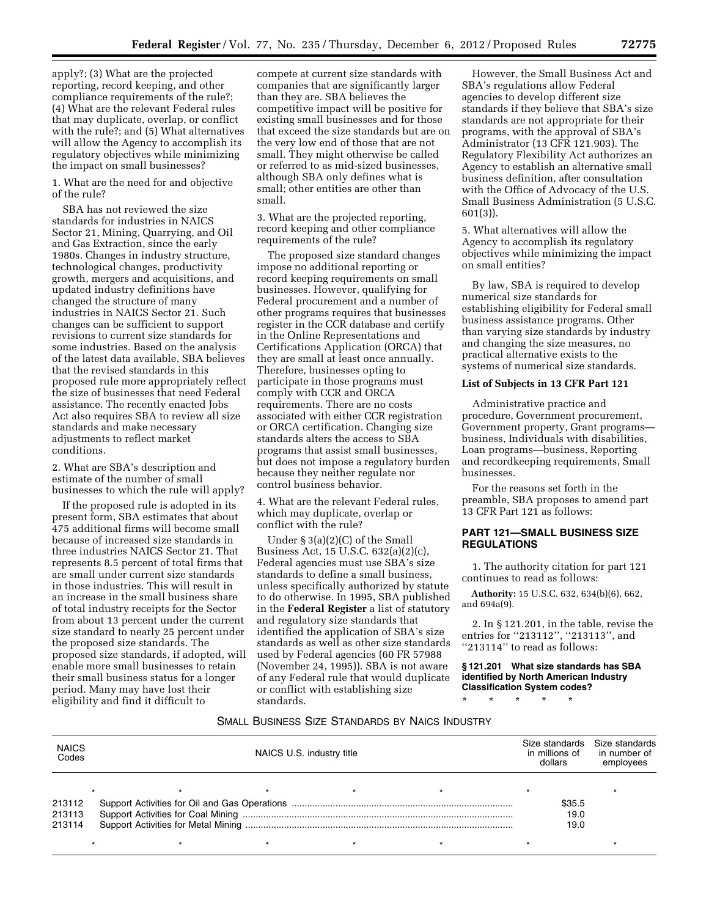apply?; (3) What are the projected reporting, record keeping, and other compliance requirements of the rule?; (4) What are the relevant Federal rules that may duplicate, overlap, or conflict with the rule?; and (5) What alternatives will allow the Agency to accomplish its regulatory objectives while minimizing the impact on small businesses?

1. What are the need for and objective of the rule?

SBA has not reviewed the size standards for industries in NAICS Sector 21, Mining, Quarrying, and Oil and Gas Extraction, since the early 1980s. Changes in industry structure, technological changes, productivity growth, mergers and acquisitions, and updated industry definitions have changed the structure of many industries in NAICS Sector 21. Such changes can be sufficient to support revisions to current size standards for some industries. Based on the analysis of the latest data available, SBA believes that the revised standards in this proposed rule more appropriately reflect the size of businesses that need Federal assistance. The recently enacted Jobs Act also requires SBA to review all size standards and make necessary adjustments to reflect market conditions.

2. What are SBA's description and estimate of the number of small businesses to which the rule will apply?

If the proposed rule is adopted in its present form, SBA estimates that about 475 additional firms will become small because of increased size standards in three industries NAICS Sector 21. That represents 8.5 percent of total firms that are small under current size standards in those industries. This will result in an increase in the small business share of total industry receipts for the Sector from about 13 percent under the current size standard to nearly 25 percent under the proposed size standards. The proposed size standards, if adopted, will enable more small businesses to retain their small business status for a longer period. Many may have lost their eligibility and find it difficult to

compete at current size standards with companies that are significantly larger than they are. SBA believes the competitive impact will be positive for existing small businesses and for those that exceed the size standards but are on the very low end of those that are not small. They might otherwise be called or referred to as mid-sized businesses, although SBA only defines what is small; other entities are other than small.

3. What are the projected reporting, record keeping and other compliance requirements of the rule?

The proposed size standard changes impose no additional reporting or record keeping requirements on small businesses. However, qualifying for Federal procurement and a number of other programs requires that businesses register in the CCR database and certify in the Online Representations and Certifications Application (ORCA) that they are small at least once annually. Therefore, businesses opting to participate in those programs must comply with CCR and ORCA requirements. There are no costs associated with either CCR registration or ORCA certification. Changing size standards alters the access to SBA programs that assist small businesses, but does not impose a regulatory burden because they neither regulate nor control business behavior.

4. What are the relevant Federal rules, which may duplicate, overlap or conflict with the rule?

Under § 3(a)(2)(C) of the Small Business Act, 15 U.S.C. 632(a)(2)(c), Federal agencies must use SBA's size standards to define a small business, unless specifically authorized by statute to do otherwise. In 1995, SBA published in the **Federal Register** a list of statutory and regulatory size standards that identified the application of SBA's size standards as well as other size standards used by Federal agencies (60 FR 57988 (November 24, 1995)). SBA is not aware of any Federal rule that would duplicate or conflict with establishing size standards.

However, the Small Business Act and SBA's regulations allow Federal agencies to develop different size standards if they believe that SBA's size standards are not appropriate for their programs, with the approval of SBA's Administrator (13 CFR 121.903). The Regulatory Flexibility Act authorizes an Agency to establish an alternative small business definition, after consultation with the Office of Advocacy of the U.S. Small Business Administration (5 U.S.C. 601(3)).

5. What alternatives will allow the Agency to accomplish its regulatory objectives while minimizing the impact on small entities?

By law, SBA is required to develop numerical size standards for establishing eligibility for Federal small business assistance programs. Other than varying size standards by industry and changing the size measures, no practical alternative exists to the systems of numerical size standards.

# **List of Subjects in 13 CFR Part 121**

Administrative practice and procedure, Government procurement, Government property, Grant programs business, Individuals with disabilities, Loan programs—business, Reporting and recordkeeping requirements, Small businesses.

For the reasons set forth in the preamble, SBA proposes to amend part 13 CFR Part 121 as follows:

# **PART 121—SMALL BUSINESS SIZE REGULATIONS**

1. The authority citation for part 121 continues to read as follows:

**Authority:** 15 U.S.C. 632, 634(b)(6), 662, and 694a(9).

2. In § 121.201, in the table, revise the entries for ''213112'', ''213113'', and "213114" to read as follows:

**§ 121.201 What size standards has SBA identified by North American Industry Classification System codes?** 

\* \* \* \* \*

## SMALL BUSINESS SIZE STANDARDS BY NAICS INDUSTRY

| <b>NAICS</b><br>Codes | NAICS U.S. industry title |  |  |  |        | Size standards Size standards<br>in millions of<br>in number of<br>employees |
|-----------------------|---------------------------|--|--|--|--------|------------------------------------------------------------------------------|
|                       |                           |  |  |  |        |                                                                              |
| 213112                |                           |  |  |  | \$35.5 |                                                                              |
| 213113                |                           |  |  |  | 19.0   |                                                                              |
| 213114                |                           |  |  |  | 19.0   |                                                                              |
|                       |                           |  |  |  |        |                                                                              |